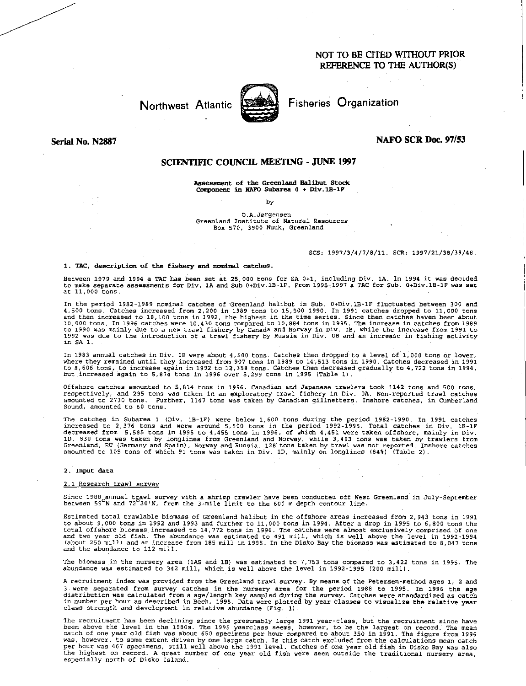# NOT TO BE CITED WITHOUT PRIOR REFERENCE TO THE AUTHOR(S)

# Northwest Atlantic



Fisheries Organization

Serial No. N2887

### **NAFO SCR Doc. 97/53**

## SCIENTIFIC COUNCIL MEETING - JUNE 1997

Assessment of the Greenland Halibut Stock Component in NAFO Subarea  $0 + Div.1B-1F$ 

*by* 

# 0.A.Jorgensen Greenland Institute of Natural Resources Box 570, 3900 Nuuk, Greenland

### SCS: 1997/3/4/7/8/11. SCR: 1997/21/38/39/48.

#### 1. TAC, description of the fishery and nominal catches

Between 1979 and 1994 a TAC has been set at 25,000 tons for SA 0+1, including Div. 1A. In 1994 it was decided<br>to make separate assessments for Div. 1A and Sub 0+Div.1B-1F. From 1995–1997 a TAC for Sub. 0+Div.1B-1F was set<br>

In the period 1982-1989 nominal catches of Greenland halibut in Sub. 0+Div.1B-1F fluctuated between 300 and 4,500 tons. Catches increased from 2,200 in 1989 tons to 15,500 1990. In 1991 catches dropped to 11,000 tons and then increased to 18,100 tons in 1992, the highest in the time series. Since then catches haven been about<br>10,000 tons. In 1996 catches were 10,430 tons compared to 10,884 tons in 1995. The increase in catches from 198 in SA 1.

In 1983 annual catches in Div. OB were about 4,500 tons. Catches then dropped to a level of 1,000 tons or lower, where they remained until they increased from 907 tons in 1989 to 14,513 tons in 1990. Catches decreased in 1991 to 8,606 tons, to increase again in 1992 to 12,358 tons. Catches then decreased gradually to 4,722 tons in 1994, but increased again to 5,874 tons in 1996 over 5,299 tons in 1995 (Table 1).

Offshore catches amounted to 5,814 tons in 1996. Canadian and Japanese trawlers took 1142 tons and 500 tons,<br>respectively, and 295 tons was taken in an exploratory trawl fishery in Div. 0A. Non-reported trawl catches<br>amoun Sound, amounted to 60 tons.

The catches in Subarea 1 (Div. 1B-1F) were below 1,600 tons during the period 1982-1990. In 1991 catches increased to 2,376 tons and were around 5,500 tons in the period 1992-1995. Total catches in Div. 1B-1F decreased fro

#### 2. Input data

### 2.1 Research trawl survey

Since 1988 annual trawl survey with a shrimp trawler have been conducted off West Greenland in July-September<br>between 59°N and 72°30'N, from the 3-mile limit to the 600 m depth contour line.

Estimated total trawlable biomass of Greenland halibut in the offshore areas increased from 2,943 tons in 1991 to about 9,000 tons in 1992 and 1993 and further to 11,000 tons in 1994. After a drop in 1995 to 6,800 tons the<br>total offshore biomass increased to 14,772 tons in 1996. The catches were almost exclusively comprised of one<br> and the abundance to 112 mill.

The biomass in the nursery area (1AS and 113) *was* estimated to 7,753 tons compared to 3,422 tons in 1995. The abundance was estimated to 342 mill, which is well above the level in 1992-1995 (200 mill).

A recruitment index was provided from the Greenland trawl survey. By means of the Petersen-method ages 1, 2 and 3 were separated from survey catches in the nursery area for the period 1988 to 1995. In 1996 the age distribution was calculated from a age/length key sampled during the survey. Catches were standardized as catch in number per hour as described in Bech, 1995. Data were plotted by year classes to visualize the relative year class strength and development in relative abundance (Fig. 1).

The recruitment has been declining since the presumably large 1991 year-class, but the recruitment since have<br>been above the level in the 1980s. The 1995 yearclass seems, however, to be the largest on record. The mean<br>catc was, however, to some extent driven by one large catch. Is this catch excluded from the calculations mean catch<br>per hour was 467 specimens, still well above the 1991 level. Catches of one year old fish in Disko Bay was als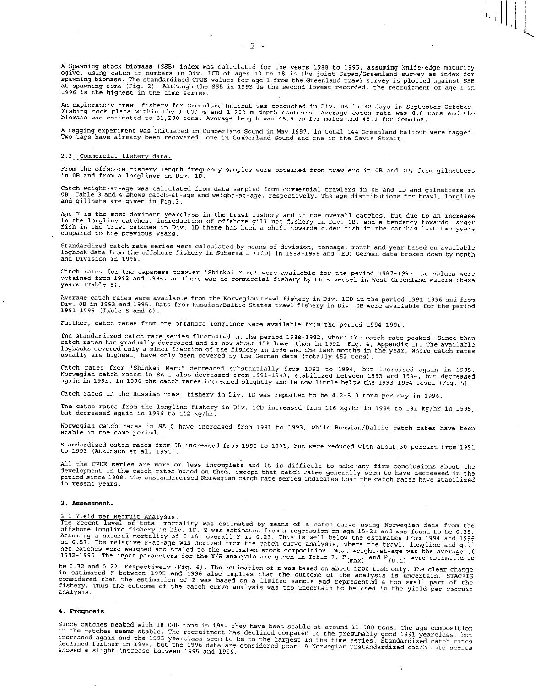A Spawning stock biomass (SSB) index was calculated for the years 1988 to 1995, assuming knife-edge maturity<br>ogive, using catch in numbers in Div. ICD of ages 10 to 18 in the joint Japan/Greenland survey as index for<br>spawn

 $\mathbb{E}[\mathbf{u}_i]$ 

An exploratory trawl fishery for Greenland halibut was conducted in Div. 0A in 30 days in September-October.<br>Fishing took place within the 1,000 m and 1,300 m depth contours. Average catch rate was 0.6 tons and the<br>biomass

A tagging experiment was initiated in Cumberland Sound in May 1997. In total 144 Greenland halibut were tagged. Two tags have already been recovered, one in Cumberland Sound and one in the Davis Strait.

#### 2.3 Commercial fishery data.

From the offshore fishery length frequency samples were obtained from trawlers in OB and 10, from gilnetters in 08 and from a longliner in Div. ID.

Catch weight-at-age was calculated from data sampled from commercial trawlers in OB and 10 and gilnetters in OB. Table 3 and 4 shows catch-at-age and weight-at-age, respectively. The age distributions for trawl, longline and gillnets are given in Fig.3.

Age 7 is the most dominant yearclass in the trawl fishery and in the overall catches, but due to an increase in the longline catches, introduction of offshore gill net fishery in Div. OB, and a tendency towards larger<br>fish in the trawl catches in Div. 1D there has been a shift towards older fish in the catches last two years compared to the previous years.

Standardized catch rate series were calculated by means of division, tonnage, month and year based on available<br>logbook data from the offshore fishery in Subarea 1 (1CD) in 1988-1996 and (EU) German data broken down by mon and Division in 1996.

Catch rates for the Japanese trawler 'Shinkai Maru' were available for the period 1987-1995. No values were obtained from 1993 and 1996, as there was no commercial fishery by this vessel in West Greenland waters these years (Table 5).

Average catch rates were available from the Norwegian trawl fishery in Div. 1CD in the period 1991-1996 and from<br>Div. OB in 1993 and 1995. Data from Russian/Baltic States trawl fishery in Div. OB were available for the per 1991-1995 (Table 5 and 6).

Further, catch rates from one offshore longliner were available from the period 1994-1996.

The standardized catch rate series fluctuated in the period 1988-1992, where the catch rate peaked. Since then<br>catch rates has gradually decreased and is now about 45% lower than in 1992 (Fig. 4, Appendix 1). The available

Catch rates from 'Shinkai Maru' decreased substantially from 1992 to 1994, but increased again in 1995.<br>Norwegian catch rates in SA 1 also decreased from 1991–1993, stabilized between 1993 and 1994, but decreased<br>again in

Catch rates in the Russian trawl fishery in Div. ID was reported to be 4.2-5.0 tons per day in 1996.

The catch rates from the longline fishery in Div. 1CD increased from 116 kg/hr in 1994 to 181 kg/hr in 1995, but decreased again in 1996 to 112 kg/hr.

Norwegian catch rates in SA 0 have increased from 1991 to 1993, while Russian/Baltic catch rates have been stable in the same period.

Standardized catch rates from OB increased from 1990 to 1991, but were reduced with about 30 percent from 1991 to 1993 (Atkinson et al, 1994).

All the CPUE series are more or less incomplete and it is difficult to make any firm conclusions about the development in the catch rates based on them, except that catch rates generally seem to have decreased in the period since 1988. The unstandardized Norwegian catch rate series indicates that the catch rates have stabilized in resent years.

#### 3. Assessment.

#### 3.1 Yield per Recruit Analysis.

The recent level of total mortality was estimated by means of a catch-curve using Norwegian data from the offshore longline fishery in Div. 1D. Z was estimated from a regression on age 15-21 and was found to be 0.38. Assu

De 0.32 and 0.22, respectively (Fig. 6). The estimation of z was based on about 1200 fish only. The clear change<br>in estimated F between 1995 and 1996 also implies that the outcome of the analysis is uncertain. STACFIS<br>cons

### 4. Prognosis

Since catches peaked with 18.000 tons in 1992 they have been stable at around 11.000 tons. The age composition<br>in the catches seems stable. The recruitment has declined compared to the presumably good 1991 yearclass, but<br>i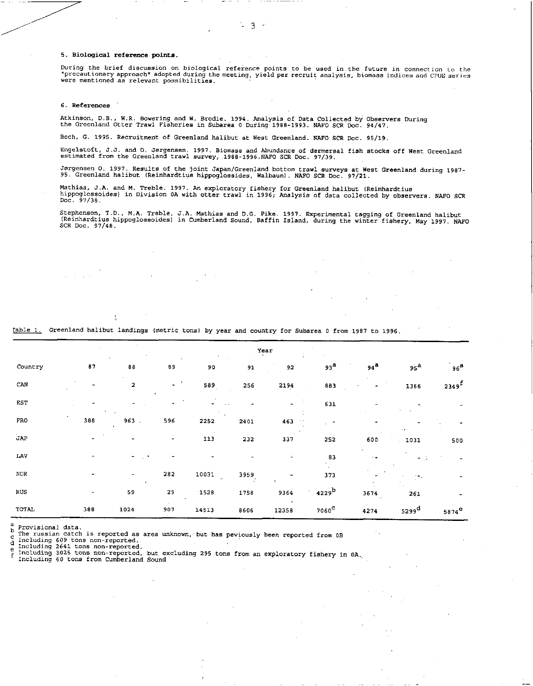5. Biological reference points.

During the brief discussion on biological reference points to be used in the future in connection to the<br>"precautionary approach" adopted during the meeting, yield per recruit analysis, biomass indices and CPUE series<br>were

### 6. References

Atkinson, D.B., W.R. Bowering and W. Brodie. 1994. Analysis of Data Collected by Observers During the Greenland Otter Trawl Fisheries in Subarea 0 During 1988-1993. NAFO SCR Doc. 94/47.

Bech, G. 1995. Recruitment of Greenland halibut at West Greenland. NAFO SCR Doc. 95/19.

Engelstoft, J.J. and 0. Jorgensen. 1997. Biomass and Abundance of dermersal fish stocks off West Greenland estimated from the Greenland trawl survey, 1988-1996.NAFO SCR Doc. 97/39.

Jorgensen O. 1997. Results of the joint Japan/Greenland bottom trawl surveys at West Greenland during 1987- 95. Greenland halibut (Reinhardtius hippoglossides, Walbaum). NAFO SCR Doc. 97/21.

Mathias, J.A. and M. Treble. 1997. An exploratory fishery for Greenland halibut (Reinhardtius hippoglossoides) in Division OA with otter trawl in 1996; Analysis of data collected by observers. NAFO SCR Doc. 97/38.

Stephenson, T.D., M.A. Treble, J.A. Mathias and D.G. Pike. 1997. Experimental tagging of Greenland halibut (Reinhardtius hippoglossoides) in Cumberland Sound, Baffin Island, during the winter fishery, May 1997. NAFO SCR Doc. 97/48.

|              |     |                          |                          |       |      | Year                 |                 |                     |                     |                          |
|--------------|-----|--------------------------|--------------------------|-------|------|----------------------|-----------------|---------------------|---------------------|--------------------------|
| Country      | 87  | 88                       | 89                       | 90    | 91   | 92                   | 93 <sup>a</sup> | $94^{\overline{a}}$ | 95 <sup>a</sup>     | $^{\circ}$ 96 $^{\circ}$ |
| CAN          |     | $\overline{\mathbf{2}}$  | $\overline{\phantom{a}}$ | 589   | 256  | 2194                 | 883             |                     | 1366                | $2349^f$                 |
| <b>EST</b>   |     |                          |                          |       |      |                      | 631             |                     |                     |                          |
| FRO          | 388 | 963.                     | 596                      | 2252  | 2401 | 463<br>$\sim$ $\sim$ |                 |                     |                     |                          |
| JAP          |     |                          |                          | 113   | 232  | 337                  | 252             | 600                 | 1031                | 500                      |
| LAV          |     | $\overline{\phantom{0}}$ |                          |       |      |                      | 83              |                     |                     |                          |
| $_{\rm NOR}$ |     | $\blacksquare$           | 282                      | 10031 | 3959 | $\sim$               | 373             |                     |                     |                          |
| RUS.         |     | 59                       | 29                       | 1528  | 1758 | 9364                 | $4229^b$        | 3674                | 261                 |                          |
| TOTAL        | 388 | 1024                     | 907                      | 14513 | 8606 | 12358                | $7060^\circ$    | 4274                | $5299$ <sup>d</sup> | $5874^{\text{e}}$        |

<u>Fable 1.</u> Greenland halibut landings (metric tons) by year and country for Subarea 0 from 1987 to 1996.

 $\overset{a}{b}$  Provisional data.

 $\begin{array}{l} \texttt{c} \\ \texttt{c} \\ \texttt{d} \end{array}$  The russian catch is reported as area unknown, but has peviously been reported from 0B

Including 609 tons non-reported.

Including 2641 tons non-reported. e

Including 3025 tons non-reported, but excluding 295 tons from an exploratory fishery in OA.,  $\tilde{\mathtt{r}}$ 

Including 60 tons from Cumberland Sound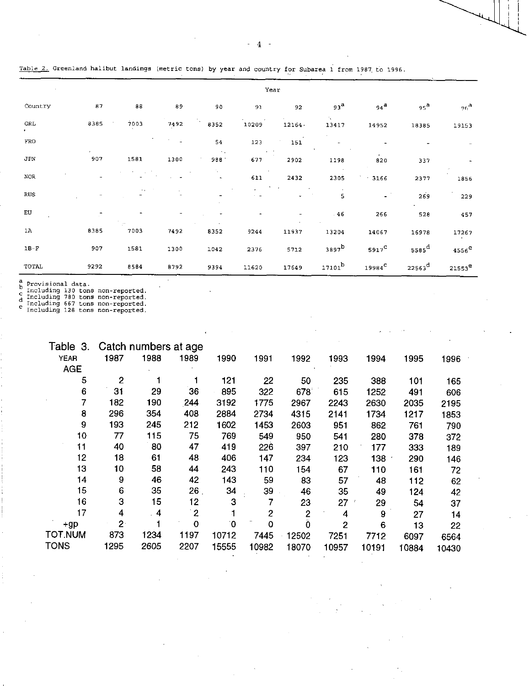| Table 2. Greenland halibut landings (metric tons) by year and country for Subarea 1 from 1987 to 1996. |  |  |  |  |
|--------------------------------------------------------------------------------------------------------|--|--|--|--|
|--------------------------------------------------------------------------------------------------------|--|--|--|--|

|              |      |                    |                          |                     |                | Year   |                   |                          |                      |                    |
|--------------|------|--------------------|--------------------------|---------------------|----------------|--------|-------------------|--------------------------|----------------------|--------------------|
| Country      | 87   | 88                 | 89                       | 90                  | 91             | 92     | 93 <sup>a</sup>   | $94^a$                   | 95 <sup>8</sup>      | 96 <sup>a</sup>    |
| <b>GRL</b>   | 8385 | 7003               | 7492                     | 8352                | 10209          | 12164. | N.<br>13417       | 14952                    | 18385                | 19153              |
| $_{\rm FRO}$ |      |                    | $\frac{1}{2}$            | 54                  | 123            | 151    |                   |                          |                      |                    |
| JPN          | 907  | 1581               | 1300                     | $\sim$ .<br>988     | $\sim$<br>677  | 2902   | 1198              | $\mathbf{a}$ .<br>820    | 337                  |                    |
| $_{\rm NOR}$ |      |                    |                          | $\bar{\phantom{a}}$ | 611            | 2432   | 2305              | 3166                     | 2377                 | 1856               |
| <b>RUS</b>   |      |                    |                          |                     |                |        | 5                 | $\overline{\phantom{a}}$ | 269                  | 229                |
| EU           |      |                    | $\overline{\phantom{a}}$ |                     | $\blacksquare$ |        | .46               | 266                      | 528                  | 457                |
| 1A           | 8385 | $\epsilon$<br>7003 | 7492                     | 8352                | 9244           | 11937  | 13204             | 14067                    | 16978                | 17267              |
| $1B-F$       | 907  | 1581               | 1300                     | 1042                | 2376           | 5712   | 3897 <sup>b</sup> | $5917^{\circ}$           | 5585 <sup>d</sup>    | $4556^e$           |
| <b>TOTAL</b> | 9292 | 8584               | 8792                     | 9394                | 11620          | 17649  | $17101^b$         | $19984^\mathsf{C}$       | $22563$ <sup>d</sup> | 21553 <sup>e</sup> |

n Provisional data.<br>
c Including 130 tons<br>
d Including 780 tons<br>
e Including 667 tons<br>
e Including 128 tons non-reported. non-reported. non-reported. non-reported.

| Table 3.       |                | Catch numbers at age |                |              |                |               |                |                  |       |       |
|----------------|----------------|----------------------|----------------|--------------|----------------|---------------|----------------|------------------|-------|-------|
| <b>YEAR</b>    | 1987           | 1988                 | 1989           | 1990         | 1991           | 1992          | 1993           | 1994             | 1995  | 1996  |
| <b>AGE</b>     |                |                      |                |              |                |               |                |                  |       |       |
| 5              | $\mathbf{2}$   |                      |                | 121          | 22             | 50            | 235            | 388              | 101   | 165   |
| 6              | 31             | 29                   | 36             | 895          | 322            | 678           | 615            | 1252             | 491   | 606   |
| 7              | 182            | 190                  | 244            | 3192         | 1775           | 2967          | 2243           | 2630             | 2035  | 2195  |
| 8              | 296            | 354                  | 408            | 2884         | 2734           | 4315          | 2141           | 1734             | 1217  | 1853  |
| 9              | 193            | 245                  | 212            | 1602         | 1453           | 2603          | 951            | 862              | 761   | 790   |
| 10             | 77             | 115                  | 75             | 769          | 549            | 950           | 541            | 280              | 378   | 372   |
| 11             | 40             | 80                   | 47             | 419          | 226            | 397           | 210            | 177              | 333   | 189   |
| 12             | 18             | 61                   | 48             | 406          | 147            | 234           | 123            | $138 -$          | 290   | 146   |
| 13             | 10             | 58                   | 44             | 243          | 110            | 154           | 67             | 110              | 161   | 72    |
| 14             | 9              | 46                   | 42             | 143          | 59             | 83            | 57             | 48               | 112   | 62    |
| 15             | 6              | 35                   | 26.            | 34           | 39             | 46            | 35             | 49               | 124   | 42    |
| 16             | 3              | 15                   | 12             | 3            | 7              | 23            | 27             | 29               | 54    | 37    |
| 17             | 4              | $\overline{4}$       | $\overline{2}$ |              | $\overline{c}$ | $\mathbf{2}$  | 4              | $\boldsymbol{9}$ | 27    | 14    |
| +gp            | 2 <sup>1</sup> |                      | 0              | $\mathbf{0}$ | 0              | $\alpha$<br>Ö | $\overline{2}$ | 6                | 13    | 22    |
| <b>TOT NUM</b> | 873            | 1234                 | 1197           | 10712        | 7445           | 12502         | 7251           | 7712             | 6097  | 6564  |
| <b>TONS</b>    | 1295           | 2605                 | 2207           | 15555        | 10982          | 18070         | 10957          | 10191            | 10884 | 10430 |

 $\mathcal{A}$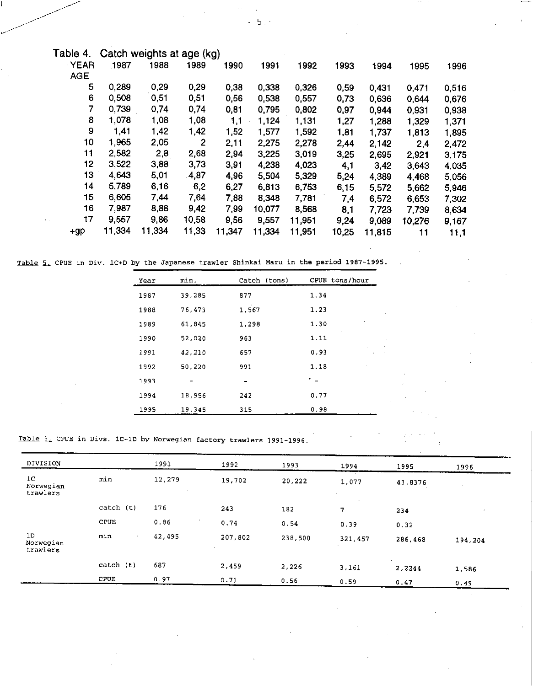| .1987  | 1988   | 1989         | 1990   | 1991                      | 1992   | 1993  | 1994   | 1995   | 1996  |
|--------|--------|--------------|--------|---------------------------|--------|-------|--------|--------|-------|
|        |        |              |        |                           |        |       |        |        |       |
| 0,289  | 0,29   | 0,29         | 0,38   | 0,338                     | 0,326  | 0,59  | 0,431  | 0,471  | 0,516 |
| 0,508  | 0,51   | 0,51         | 0,56   | 0,538                     | 0,557  | 0.73  | 0,636  | 0,644  | 0,676 |
| 0,739  | 0,74   | 0,74         | 0,81   | 0,795                     | 0,802  | 0,97  | 0,944  | 0,931  | 0,938 |
| 1.078  | 1,08   | 1,08         | 1.1    | 1,124                     | 1,131  | 1.27  | 1,288  | 1,329  | 1,371 |
| 1,41   | 1,42   | 1,42         | 1,52   | 1,577                     | 1,592  | 1,81  | 1,737  | 1,813  | 1,895 |
| 1,965  | 2,05   | $\mathbf{2}$ | 2,11   | 2,275                     | 2,278  | 2,44  | 2,142  | 2,4    | 2,472 |
| 2,582  | 2,8    | 2,68         | 2,94   | 3,225                     | 3,019  | 3,25  | 2,695  | 2,921  | 3,175 |
| 3,522  | 3,88   | 3,73         | 3,91   | 4,238                     | 4,023  | 4,1   | 3,42   | 3,643  | 4,035 |
| 4,643  | 5,01   | .4,87        | 4,96   | 5,504                     | 5,329  | 5.24  | 4,389  | 4,468  | 5,056 |
| 5,789  | 6,16   | 6,2          | 6,27   | 6,813                     | 6,753  | 6,15  | 5,572  | 5,662  | 5,946 |
| 6,605  | 7,44   | 7,64         | 7,88   | 8,348                     | 7,781  | 7,4   | 6,572  | 6,653  | 7,302 |
| 7.987  | 8,88   | 9,42         | 7,99   | 10,077                    | 8,568  | 8,1   | 7,723  | 7,739  | 8,634 |
| 9,557  | 9,86   | 10,58        | 9,56   | 9,557                     | 11,951 | 9,24  | 9,089  | 10.276 | 9,167 |
| 11,334 | 11,334 | 11,33        | 11,347 | 11,334                    | 11,951 | 10.25 | 11,815 | 11     | 11,1  |
|        |        |              |        | Catch weights at age (kg) |        |       |        |        |       |

Table 5. CPUE in Div. 1C+D by the Japanese trawler Shinkai Maru in the period 1987-1995.

| Year | min.   | Catch (tons) | CPUE tons/hour         |
|------|--------|--------------|------------------------|
| 1987 | 39 285 | 877          | 1.34                   |
| 1988 | 76 473 | 1,567        | 1.23                   |
| 1989 | 61.845 | 1,298        | 1.30                   |
| 1990 | 52.020 | 963          | 1.11                   |
| 1991 | 42,210 | 657          | 0.93<br>$\mathbf{v}_i$ |
| 1992 | 50.220 | 991          | 1.18                   |
| 1993 |        | -            |                        |
| 1994 | 18.956 | 242          | 0.77                   |
| 1995 | 19,345 | 315          | 0.98                   |

Table i. CPUE in Divs. 1C+1D by Norwegian factory trawlers 1991-1996.

| DIVISION                                |           | 1991   | 1992    | 1993    | 1994    | 1995             | 1996    |
|-----------------------------------------|-----------|--------|---------|---------|---------|------------------|---------|
| 1 <sup>C</sup><br>Norwegian<br>trawlers | min       | 12,279 | 19,702  | 20,222  | 1,077   | 43,8376          |         |
|                                         | catch (t) | 176    | 243     | 182     | 7.      | 234              |         |
|                                         | CPUE      | 0.86   | 0.74    | 0.54    | 0.39    | 0.32             |         |
| 1D<br>Norwegian<br>trawlers             | min       | 42,495 | 207.802 | 238,500 | 321,457 | 286,468          | 194,204 |
|                                         | catch (t) | 687    | 2,459   | 2,226   | 3,161   | $\sim$<br>2,2244 | 1,586   |
|                                         | CPUE      | 0.97   | 0.71    | 0.56    | 0.59    | 0.47             | 0.49    |

 $-5.7$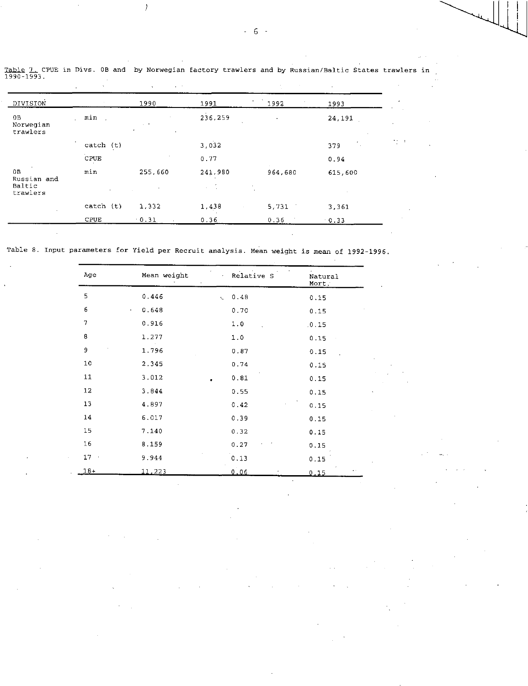|                                         | $\cdot$     |             |                      |         |           |                          |
|-----------------------------------------|-------------|-------------|----------------------|---------|-----------|--------------------------|
| DIVISION                                |             | 1990        | 1991                 | 1992    | 1993      | ٠                        |
| 0B<br>Norwegian<br>trawlers             | min.        | $\sim$<br>٠ | 236,259              | $\cdot$ | 24,191    | ٠                        |
|                                         | catch (t)   |             | 3,032                |         | Λ.<br>379 | $\mathbf{v}$ .<br>$\sim$ |
|                                         | <b>CPUE</b> |             | 0.77                 |         | 0.94      |                          |
| 0B<br>Russian and<br>Baltic<br>trawlers | min         | 255,660     | 241,980<br>$\sim 10$ | 964,680 | 615,600   |                          |
|                                         | catch (t)   | 1,332       | 1,438                | 5,731   | 3.361     |                          |
|                                         | CPUE        | 0.31        | 0.36                 | 0.36    | 0.33      |                          |
|                                         |             |             |                      |         |           |                          |

Table 7. CPUE in Divs. OB and by Norwegian factory trawlers and by Russian/Baltic States trawlers in .<br>1990–1993.

 $\overline{)}$ 

Table 8. Input parameters for Yield per Recruit analysis. Mean weight is mean of 1992-1996.

 $\hat{\mathcal{A}}$ 

| Age    | Mean weight   | Relative S<br>×.      | Natural<br>Mort. |
|--------|---------------|-----------------------|------------------|
| 5      | 0.446         | 0.48<br>$\mathcal{L}$ | 0.15             |
| 6      | 0.648<br>÷    | 0.70                  | 0.15             |
| 7      | 0.916         | 1.0                   | .0.15            |
| 8      | 1.277         | 1.0                   | 0.15             |
| 9      | 1.796         | 0.87                  | 0.15             |
| 10     | 2.345         | 0.74                  | 0.15             |
| 11     | 3.012         | 0.81                  | 0.15             |
| 12     | 3.844         | 0.55                  | 0.15             |
| 13     | 4.897         | 0.42                  | 0.15             |
| 14     | 6.017         | 0.39                  | 0.15             |
| 15     | 7.140         | 0.32                  | 0.15             |
| 16     | 8.159         | 0.27                  | 0.15             |
| $17 -$ | 9.944         | 0.13                  | 0.15             |
| $18+$  | <u>11.223</u> | 0.06                  | 0.15             |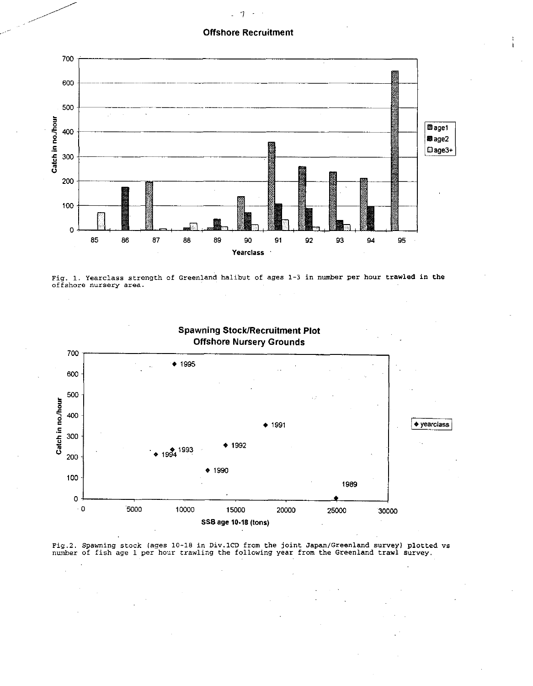## Offshore Recruitment



Fig. 1. Yearclass strength of Greenland halibut of ages 1-3 in number per hour trawled in the offshore nursery area.



Spawning Stock/Recruitment Plot

Fig.2. Spawning stock (ages 10-18 in Div.1CD from the joint Japan/Greenland survey) plotted vs number of fish age 1 per hour trawling the following year from the Greenland trawl survey.

#### $-7$  $\sim$

•

•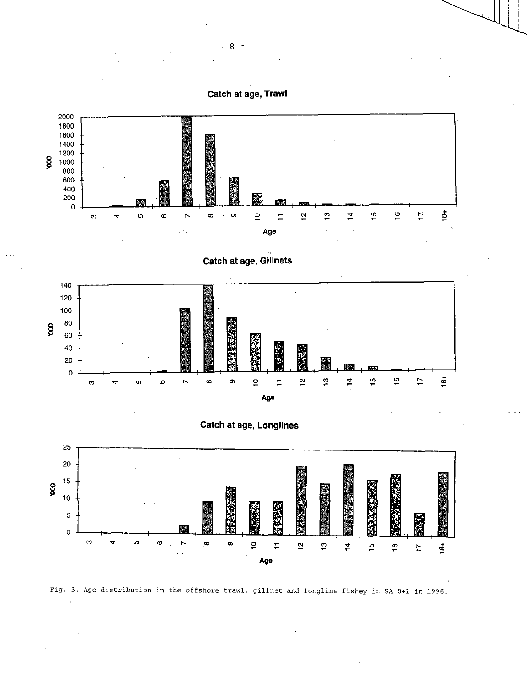**Catch at age, Trawl** 











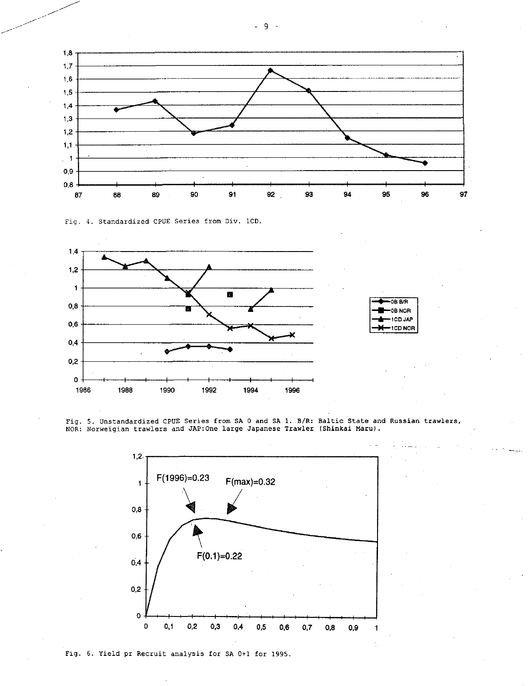

Fig. 4. Standardized CPUE Series from Div. 1CD.



NOR: Norweigian trawlers and JAP:One large Japanese Trawler (Shinkai Maru).

Fig. 5. Unstandardized CPUE Series from SA 0 and SA 1. B/R: Baltic State and Russian trawlers,

1CD JAP<br>1CD NOR

1,2.  $1 +$  F(1996)=0.23  $F(max)=0.32$  $0,8$ 0,6 F(0.1)=0.22  $0.4$  $0,2$ o I )--1 I • I 0 0,1 0,2 0,3 0,4 0,5 0,6 0,7 0,8 0,9 1

Fig. 6. Yield pr Recruit analysis for SA 0+1 for 1995.

- 9